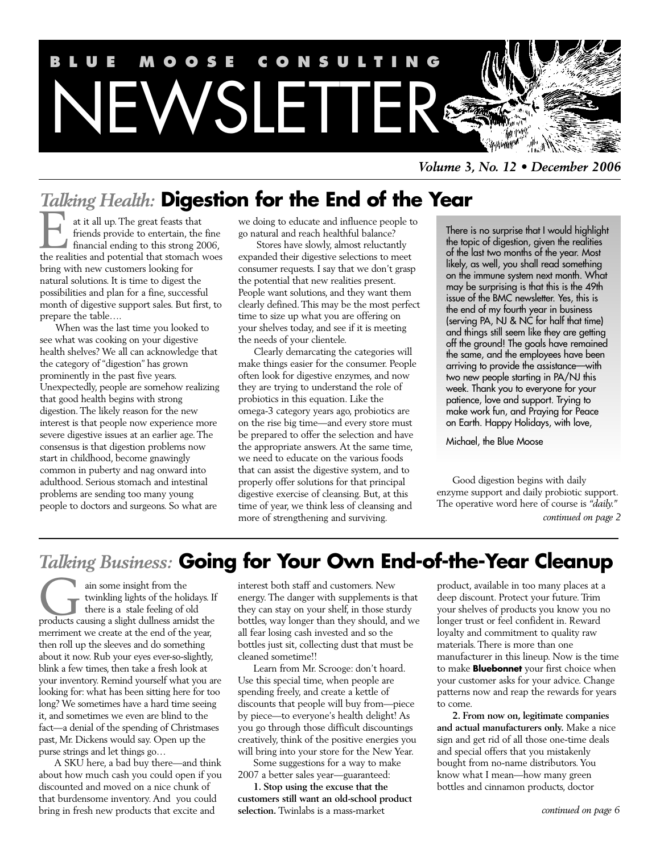

*Volume 3, No. 12 • December 2006*

# *Talking Health:* **Digestion for the End of the Year**

at it all up. The great feasts that friends provide to entertain, the fine financial ending to this strong 2006, at it all up. The great feasts that<br>friends provide to entertain, the fine<br>financial ending to this strong 2006,<br>the realities and potential that stomach woes bring with new customers looking for natural solutions. It is time to digest the possibilities and plan for a fine, successful month of digestive support sales. But first, to prepare the table….

When was the last time you looked to see what was cooking on your digestive health shelves? We all can acknowledge that the category of "digestion" has grown prominently in the past five years. Unexpectedly, people are somehow realizing that good health begins with strong digestion. The likely reason for the new interest is that people now experience more severe digestive issues at an earlier age. The consensus is that digestion problems now start in childhood, become gnawingly common in puberty and nag onward into adulthood. Serious stomach and intestinal problems are sending too many young people to doctors and surgeons. So what are

we doing to educate and influence people to go natural and reach healthful balance?

Stores have slowly, almost reluctantly expanded their digestive selections to meet consumer requests. I say that we don't grasp the potential that new realities present. People want solutions, and they want them clearly defined. This may be the most perfect time to size up what you are offering on your shelves today, and see if it is meeting the needs of your clientele.

Clearly demarcating the categories will make things easier for the consumer. People often look for digestive enzymes, and now they are trying to understand the role of probiotics in this equation. Like the omega-3 category years ago, probiotics are on the rise big time—and every store must be prepared to offer the selection and have the appropriate answers. At the same time, we need to educate on the various foods that can assist the digestive system, and to properly offer solutions for that principal digestive exercise of cleansing. But, at this time of year, we think less of cleansing and more of strengthening and surviving.

There is no surprise that I would highlight the topic of digestion, given the realities of the last two months of the year. Most likely, as well, you shall read something on the immune system next month. What may be surprising is that this is the 49th issue of the BMC newsletter. Yes, this is the end of my fourth year in business (serving PA,  $\overline{N}$ J & N $\acute{C}$  for half that time) and things still seem like they are getting off the ground! The goals have remained the same, and the employees have been arriving to provide the assistance—with two new people starting in PA/NJ this week. Thank you to everyone for your patience, love and support. Trying to make work fun, and Praying for Peace on Earth. Happy Holidays, with love,

Michael, the Blue Moose

Good digestion begins with daily enzyme support and daily probiotic support. The operative word here of course is *"daily." continued on page 2*

# *Talking Business:* **Going for Your Own End-of-the-Year Cleanup**

ain some insight from the twinkling lights of the holidays. If there is a stale feeling of old ain some insight from the<br>twinkling lights of the holidays. If<br>there is a stale feeling of old<br>products causing a slight dullness amidst the merriment we create at the end of the year, then roll up the sleeves and do something about it now. Rub your eyes ever-so-slightly, blink a few times, then take a fresh look at your inventory. Remind yourself what you are looking for: what has been sitting here for too long? We sometimes have a hard time seeing it, and sometimes we even are blind to the fact—a denial of the spending of Christmases past, Mr. Dickens would say. Open up the purse strings and let things go…

A SKU here, a bad buy there—and think about how much cash you could open if you discounted and moved on a nice chunk of that burdensome inventory. And you could bring in fresh new products that excite and

interest both staff and customers. New energy. The danger with supplements is that they can stay on your shelf, in those sturdy bottles, way longer than they should, and we all fear losing cash invested and so the bottles just sit, collecting dust that must be cleaned sometime!!

Learn from Mr. Scrooge: don't hoard. Use this special time, when people are spending freely, and create a kettle of discounts that people will buy from—piece by piece—to everyone's health delight! As you go through those difficult discountings creatively, think of the positive energies you will bring into your store for the New Year.

Some suggestions for a way to make 2007 a better sales year—guaranteed:

**1. Stop using the excuse that the customers still want an old-school product selection.** Twinlabs is a mass-market

product, available in too many places at a deep discount. Protect your future. Trim your shelves of products you know you no longer trust or feel confident in. Reward loyalty and commitment to quality raw materials. There is more than one manufacturer in this lineup. Now is the time to make **Bluebonnet** your first choice when your customer asks for your advice. Change patterns now and reap the rewards for years to come.

**2. From now on, legitimate companies and actual manufacturers only.** Make a nice sign and get rid of all those one-time deals and special offers that you mistakenly bought from no-name distributors. You know what I mean—how many green bottles and cinnamon products, doctor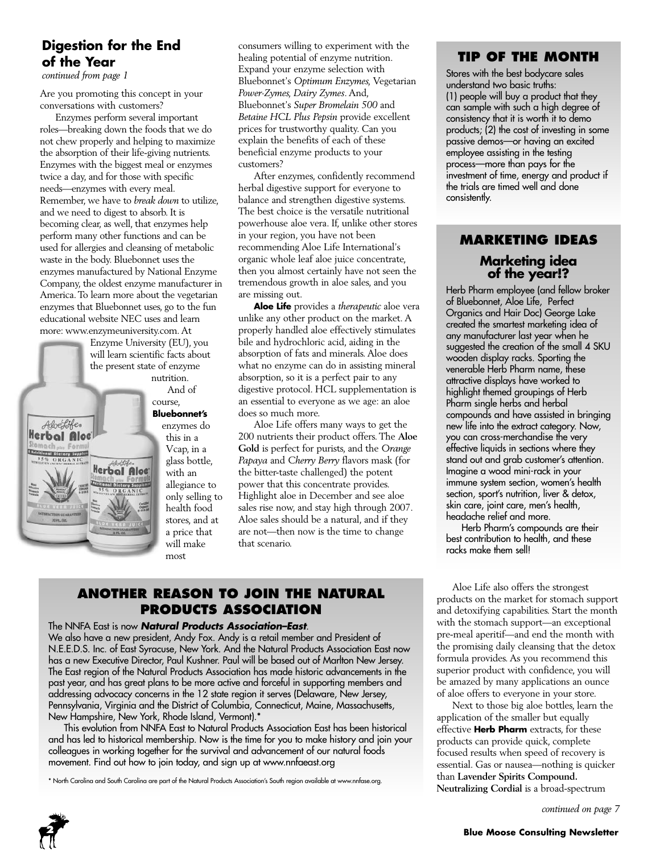# **Digestion for the End of the Year**

*continued from page 1*

Aloefife. Herbal Aloc **tional Dictory Suppler** 

Are you promoting this concept in your conversations with customers?

Enzymes perform several important roles—breaking down the foods that we do not chew properly and helping to maximize the absorption of their life-giving nutrients. Enzymes with the biggest meal or enzymes twice a day, and for those with specific needs—enzymes with every meal. Remember, we have to *break down* to utilize, and we need to digest to absorb. It is becoming clear, as well, that enzymes help perform many other functions and can be used for allergies and cleansing of metabolic waste in the body. Bluebonnet uses the enzymes manufactured by National Enzyme Company, the oldest enzyme manufacturer in America. To learn more about the vegetarian enzymes that Bluebonnet uses, go to the fun educational website NEC uses and learn more: www.enzymeuniversity.com. At

Enzyme University (EU), you will learn scientific facts about the present state of enzyme nutrition.

> And of course, **Bluebonnet's**

enzymes do this in a Vcap, in a glass bottle, Herbal Aloc with an allegiance to only selling to health food stores, and at a price that will make most

consumers willing to experiment with the healing potential of enzyme nutrition. Expand your enzyme selection with Bluebonnet's *Optimum Enzymes,* Vegetarian *Power-Zymes, Dairy Zymes*. And, Bluebonnet's *Super Bromelain 500* and *Betaine HCL Plus Pepsin* provide excellent prices for trustworthy quality. Can you explain the benefits of each of these beneficial enzyme products to your customers?

After enzymes, confidently recommend herbal digestive support for everyone to balance and strengthen digestive systems. The best choice is the versatile nutritional powerhouse aloe vera. If, unlike other stores in your region, you have not been recommending Aloe Life International's organic whole leaf aloe juice concentrate, then you almost certainly have not seen the tremendous growth in aloe sales, and you are missing out.

**Aloe Life** provides a *therapeutic* aloe vera unlike any other product on the market. A properly handled aloe effectively stimulates bile and hydrochloric acid, aiding in the absorption of fats and minerals. Aloe does what no enzyme can do in assisting mineral absorption, so it is a perfect pair to any digestive protocol. HCL supplementation is an essential to everyone as we age: an aloe does so much more.

Aloe Life offers many ways to get the 200 nutrients their product offers. The **Aloe Gold** is perfect for purists, and the *Orange Papaya* and *Cherry Berry* flavors mask (for the bitter-taste challenged) the potent power that this concentrate provides. Highlight aloe in December and see aloe sales rise now, and stay high through 2007. Aloe sales should be a natural, and if they are not—then now is the time to change that scenario.

# **ANOTHER REASON TO JOIN THE NATURAL PRODUCTS ASSOCIATION**

The NNFA East is now *Natural Products Association–East*.

We also have a new president, Andy Fox. Andy is a retail member and President of N.E.E.D.S. Inc. of East Syracuse, New York. And the Natural Products Association East now has a new Executive Director, Paul Kushner. Paul will be based out of Marlton New Jersey. The East region of the Natural Products Association has made historic advancements in the past year, and has great plans to be more active and forceful in supporting members and addressing advocacy concerns in the 12 state region it serves (Delaware, New Jersey, Pennsylvania, Virginia and the District of Columbia, Connecticut, Maine, Massachusetts, New Hampshire, New York, Rhode Island, Vermont).\*

This evolution from NNFA East to Natural Products Association East has been historical and has led to historical membership. Now is the time for you to make history and join your colleagues in working together for the survival and advancement of our natural foods movement. Find out how to join today, and sign up at www.nnfaeast.org

\* North Carolina and South Carolina are part of the Natural Products Association's South region available at www.nnfase.org.

### **TIP OF THE MONTH**

Stores with the best bodycare sales understand two basic truths: (1) people will buy a product that they can sample with such a high degree of consistency that it is worth it to demo products; (2) the cost of investing in some passive demos—or having an excited employee assisting in the testing process—more than pays for the investment of time, energy and product if the trials are timed well and done consistently.

# **MARKETING IDEAS Marketing idea of the year!?**

Herb Pharm employee (and fellow broker of Bluebonnet, Aloe Life, Perfect Organics and Hair Doc) George Lake created the smartest marketing idea of any manufacturer last year when he suggested the creation of the small 4 SKU wooden display racks. Sporting the venerable Herb Pharm name, these attractive displays have worked to highlight themed groupings of Herb Pharm single herbs and herbal compounds and have assisted in bringing new life into the extract category. Now, you can cross-merchandise the very effective liquids in sections where they stand out and grab customer's attention. Imagine a wood mini-rack in your immune system section, women's health section, sport's nutrition, liver & detox, skin care, joint care, men's health, headache relief and more.

Herb Pharm's compounds are their best contribution to health, and these racks make them sell!

Aloe Life also offers the strongest products on the market for stomach support and detoxifying capabilities. Start the month with the stomach support—an exceptional pre-meal aperitif—and end the month with the promising daily cleansing that the detox formula provides. As you recommend this superior product with confidence, you will be amazed by many applications an ounce of aloe offers to everyone in your store.

Next to those big aloe bottles, learn the application of the smaller but equally effective **Herb Pharm** extracts, for these products can provide quick, complete focused results when speed of recovery is essential. Gas or nausea—nothing is quicker than **Lavender Spirits Compound. Neutralizing Cordial** is a broad-spectrum

*continued on page 7*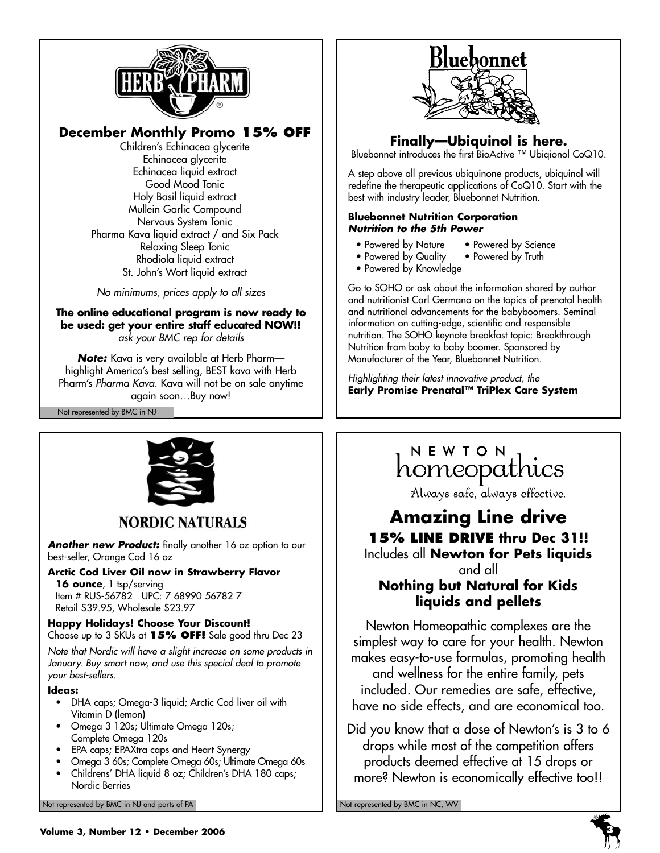

# **December Monthly Promo 15% OFF**

Children's Echinacea glycerite Echinacea glycerite Echinacea liquid extract Good Mood Tonic Holy Basil liquid extract Mullein Garlic Compound Nervous System Tonic Pharma Kava liquid extract / and Six Pack Relaxing Sleep Tonic Rhodiola liquid extract St. John's Wort liquid extract

*No minimums, prices apply to all sizes* 

### **The online educational program is now ready to be used: get your entire staff educated NOW!!** *ask your BMC rep for details*

*Note:* Kava is very available at Herb Pharm highlight America's best selling, BEST kava with Herb Pharm's *Pharma Kava*. Kava will not be on sale anytime again soon…Buy now!

Not represented by BMC in NJ



# **Finally—Ubiquinol is here.**

Bluebonnet introduces the first BioActive ™ Ubiqionol CoQ10.

A step above all previous ubiquinone products, ubiquinol will redefine the therapeutic applications of CoQ10. Start with the best with industry leader, Bluebonnet Nutrition.

### **Bluebonnet Nutrition Corporation** *Nutrition to the 5th Power*

- Powered by Nature Powered by Science<br>• Powered by Quality Powered by Truth
- Powered by Quality
- Powered by Knowledge

Go to SOHO or ask about the information shared by author and nutritionist Carl Germano on the topics of prenatal health and nutritional advancements for the babyboomers. Seminal information on cutting-edge, scientific and responsible nutrition. The SOHO keynote breakfast topic: Breakthrough Nutrition from baby to baby boomer. Sponsored by Manufacturer of the Year, Bluebonnet Nutrition.

*Highlighting their latest innovative product, the*  **Early Promise Prenatal™ TriPlex Care System**



# **NORDIC NATURALS**

Another new Product: finally another 16 oz option to our best-seller, Orange Cod 16 oz

**Arctic Cod Liver Oil now in Strawberry Flavor** 16 ounce, 1 tsp/serving

Item # RUS-56782 UPC: 7 68990 56782 7 Retail \$39.95, Wholesale \$23.97

### **Happy Holidays! Choose Your Discount!** Choose up to 3 SKUs at **15% OFF!** Sale good thru Dec 23

*Note that Nordic will have a slight increase on some products in January. Buy smart now, and use this special deal to promote your best-sellers.*

### **Ideas:**

- DHA caps; Omega-3 liquid; Arctic Cod liver oil with Vitamin D (lemon)
- Omega 3 120s; Ultimate Omega 120s; Complete Omega 120s
- EPA caps; EPAXtra caps and Heart Synergy
- Omega 3 60s; Complete Omega 60s; Ultimate Omega 60s • Childrens' DHA liquid 8 oz; Children's DHA 180 caps; Nordic Berries

Not represented by BMC in NJ and parts of PA Not represented by BMC in NC, WV Not represented by BMC in NC, WV

# NEWION<br>homeopathics

Always safe, always effective.

# **Amazing Line drive 15% LINE DRIVE thru Dec 31!!**

Includes all **Newton for Pets liquids**

### and all **Nothing but Natural for Kids liquids and pellets**

Newton Homeopathic complexes are the simplest way to care for your health. Newton makes easy-to-use formulas, promoting health and wellness for the entire family, pets included. Our remedies are safe, effective, have no side effects, and are economical too.

Did you know that a dose of Newton's is 3 to 6 drops while most of the competition offers products deemed effective at 15 drops or more? Newton is economically effective too!!

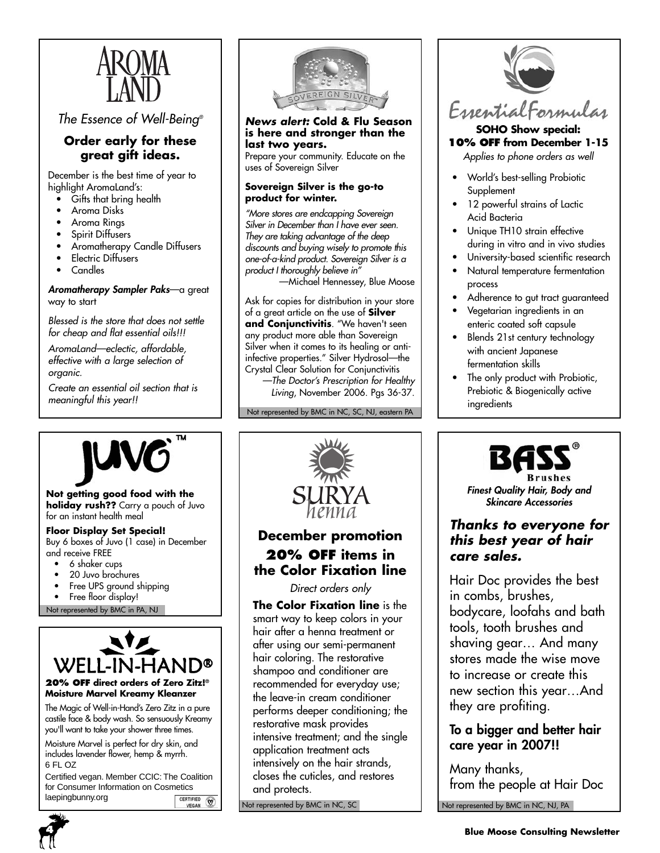

*The Essence of Well-Being®*

### **Order early for these great gift ideas.**

December is the best time of year to highlight AromaLand's:

- Gifts that bring health
- Aroma Disks
- Aroma Rings
- Spirit Diffusers
- Aromatherapy Candle Diffusers
- **Electric Diffusers**
- Candles

### *Aromatherapy Sampler Paks*—a great way to start

*Blessed is the store that does not settle for cheap and flat essential oils!!!*

*AromaLand—eclectic, affordable, effective with a large selection of organic.*

*Create an essential oil section that is meaningful this year!!*



*News alert:* **Cold & Flu Season is here and stronger than the last two years.**

Prepare your community. Educate on the uses of Sovereign Silver

### **Sovereign Silver is the go-to product for winter.**

*"More stores are endcapping Sovereign Silver in December than I have ever seen. They are taking advantage of the deep discounts and buying wisely to promote this one-of-a-kind product. Sovereign Silver is a product I thoroughly believe in"*

—Michael Hennessey, Blue Moose

Ask for copies for distribution in your store of a great article on the use of **Silver and Conjunctivitis**. "We haven't seen any product more able than Sovereign Silver when it comes to its healing or antiinfective properties." Silver Hydrosol—the Crystal Clear Solution for Conjunctivitis

*—The Doctor's Prescription for Healthy Living*, November 2006. Pgs 36-37.

Not represented by BMC in NC, SC, NJ, eastern PA



### **SOHO Show special: 10% OFF from December 1-15**

*Applies to phone orders as well*

- World's best-selling Probiotic **Supplement**
- 12 powerful strains of Lactic Acid Bacteria
- Unique TH10 strain effective during in vitro and in vivo studies
- University-based scientific research
- Natural temperature fermentation process
- Adherence to gut tract guaranteed
- Vegetarian ingredients in an enteric coated soft capsule
- Blends 21st century technology with ancient Japanese fermentation skills
- The only product with Probiotic, Prebiotic & Biogenically active ingredients



**Finest Quality Hair, Body and**<br> **Finest Quality Hair, Body and**<br> **Finest Quality Hair, Body and**<br> **SURYA** *SWARYA Skincare Accessories*<br> **Thanks to everyone holiday rush??** Carry a pouch of Juvo for an instant health meal

### **Floor Display Set Special!**

Buy 6 boxes of Juvo (1 case) in December and receive FREE

- 6 shaker cups
- 20 Juvo brochures
- Free UPS ground shipping
- Free floor display!

Not represented by BMC in PA, NJ



### **20% OFF direct orders of Zero Zitz!® Moisture Marvel Kreamy Kleanzer**

The Magic of Well-in-Hand's Zero Zitz in a pure castile face & body wash. So sensuously Kreamy you'll want to take your shower three times.

Moisture Marvel is perfect for dry skin, and includes lavender flower, hemp & myrrh. 6 FL OZ

Certified vegan. Member CCIC: The Coalition for Consumer Information on Cosmetics laepingbunny.orgCERTIFIED (



# **December promotion 20% OFF items in the Color Fixation line**

*Direct orders only* 

**The Color Fixation line** is the smart way to keep colors in your hair after a henna treatment or after using our semi-permanent hair coloring. The restorative shampoo and conditioner are recommended for everyday use; the leave-in cream conditioner performs deeper conditioning; the restorative mask provides intensive treatment; and the single application treatment acts intensively on the hair strands, closes the cuticles, and restores and protects.

Not represented by BMC in NC, SC



# *Thanks to everyone for this best year of hair care sales.*

Hair Doc provides the best in combs, brushes, bodycare, loofahs and bath tools, tooth brushes and shaving gear… And many stores made the wise move to increase or create this new section this year…And they are profiting.

# **To a bigger and better hair care year in 2007!!**

Not represented by BMC in NC, NJ, PA Many thanks, from the people at Hair Doc

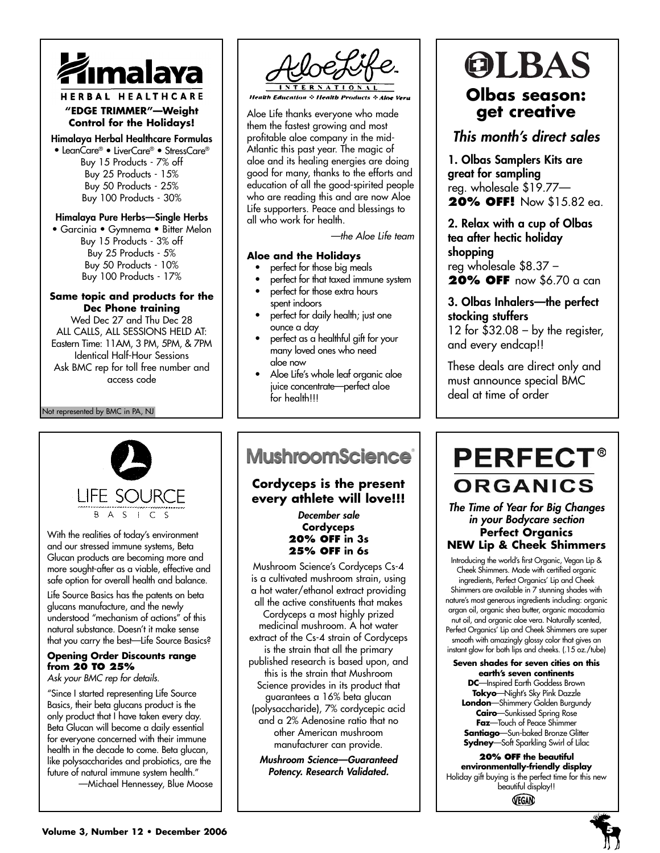

### HERBAL HEALTHCARE **"EDGE TRIMMER"—Weight Control for the Holidays!**

**Himalaya Herbal Healthcare Formulas** • LeanCare® • LiverCare® • StressCare® Buy 15 Products - 7% off Buy 25 Products - 15% Buy 50 Products - 25% Buy 100 Products - 30%

### **Himalaya Pure Herbs—Single Herbs**

• Garcinia • Gymnema • Bitter Melon Buy 15 Products - 3% off Buy 25 Products - 5% Buy 50 Products - 10% Buy 100 Products - 17%

#### **Same topic and products for the Dec Phone training**

Wed Dec 27 and Thu Dec 28 ALL CALLS, ALL SESSIONS HELD AT: Eastern Time: 11AM, 3 PM, 5PM, & 7PM Identical Half-Hour Sessions Ask BMC rep for toll free number and access code

Not represented by BMC in PA, NJ



With the realities of today's environment and our stressed immune systems, Beta Glucan products are becoming more and more sought-after as a viable, effective and safe option for overall health and balance.

Life Source Basics has the patents on beta glucans manufacture, and the newly understood "mechanism of actions" of this natural substance. Doesn't it make sense that you carry the best—Life Source Basics?

### **Opening Order Discounts range from 20 TO 25%**

*Ask your BMC rep for details.*

"Since I started representing Life Source Basics, their beta glucans product is the only product that I have taken every day. Beta Glucan will become a daily essential for everyone concerned with their immune health in the decade to come. Beta glucan, like polysaccharides and probiotics, are the future of natural immune system health."

—Michael Hennessey, Blue Moose



**Health Education & Health Products & Aloe Vera** 

Aloe Life thanks everyone who made them the fastest growing and most profitable aloe company in the mid-Atlantic this past year. The magic of aloe and its healing energies are doing good for many, thanks to the efforts and education of all the good-spirited people who are reading this and are now Aloe Life supporters. Peace and blessings to all who work for health.

*—the Aloe Life team*

### **Aloe and the Holidays**

- perfect for those big meals
- perfect for that taxed immune system
- perfect for those extra hours spent indoors
- perfect for daily health; just one ounce a day
- perfect as a healthful gift for your many loved ones who need aloe now
- Aloe Life's whole leaf organic aloe juice concentrate—perfect aloe for health!!!

# OLBAS **Olbas season: get creative**

# *This month's direct sales*

**1. Olbas Samplers Kits are great for sampling** reg. wholesale \$19.77— **20% OFF!** Now \$15.82 ea.

**2. Relax with a cup of Olbas tea after hectic holiday shopping** reg wholesale \$8.37 – **20% OFF** now \$6.70 a can

### **3. Olbas Inhalers—the perfect stocking stuffers**  12 for  $$32.08 - by$  the register, and every endcap!!

These deals are direct only and must announce special BMC deal at time of order

# **MushroomScience**®

# **Cordyceps is the present every athlete will love!!!**

*December sale* **Cordyceps 20% OFF in 3s 25% OFF in 6s**

Mushroom Science's Cordyceps Cs-4 is a cultivated mushroom strain, using a hot water/ethanol extract providing all the active constituents that makes Cordyceps a most highly prized medicinal mushroom. A hot water extract of the Cs-4 strain of Cordyceps is the strain that all the primary published research is based upon, and this is the strain that Mushroom Science provides in its product that guarantees a 16% beta glucan (polysaccharide), 7% cordycepic acid and a 2% Adenosine ratio that no other American mushroom manufacturer can provide.

*Mushroom Science—Guaranteed Potency. Research Validated.*

# **PERFECT® ORGANICS**

*The Time of Year for Big Changes in your Bodycare section* **Perfect Organics NEW Lip & Cheek Shimmers**

Introducing the world's first Organic, Vegan Lip & Cheek Shimmers. Made with certified organic ingredients, Perfect Organics' Lip and Cheek Shimmers are available in 7 stunning shades with nature's most generous ingredients including: organic argan oil, organic shea butter, organic macadamia nut oil, and organic aloe vera. Naturally scented, Perfect Organics' Lip and Cheek Shimmers are super smooth with amazingly glossy color that gives an instant glow for both lips and cheeks. (.15 oz./tube)

# **Seven shades for seven cities on this**

**earth's seven continents DC**—Inspired Earth Goddess Brown **Tokyo**—Night's Sky Pink Dazzle **London**—Shimmery Golden Burgundy **Cairo**—Sunkissed Spring Rose **Faz**—Touch of Peace Shimmer **Santiago**—Sun-baked Bronze Glitter **Sydney**—Soft Sparkling Swirl of Lilac

**20% OFF the beautiful environmentally-friendly display** Holiday gift buying is the perfect time for this new beautiful display!! VEGAN



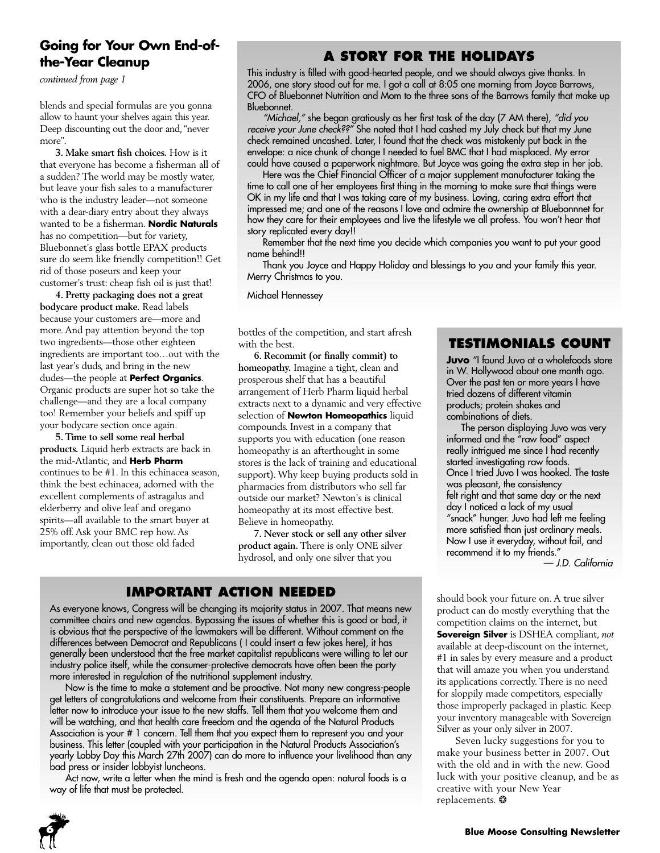# **Going for Your Own End-ofthe-Year Cleanup**

*continued from page 1*

blends and special formulas are you gonna allow to haunt your shelves again this year. Deep discounting out the door and, "never more".

**3. Make smart fish choices.** How is it that everyone has become a fisherman all of a sudden? The world may be mostly water, but leave your fish sales to a manufacturer who is the industry leader—not someone with a dear-diary entry about they always wanted to be a fisherman. **Nordic Naturals** has no competition—but for variety, Bluebonnet's glass bottle EPAX products sure do seem like friendly competition!! Get rid of those poseurs and keep your customer's trust: cheap fish oil is just that!

**4. Pretty packaging does not a great bodycare product make.** Read labels because your customers are—more and more. And pay attention beyond the top two ingredients—those other eighteen ingredients are important too…out with the last year's duds, and bring in the new dudes—the people at **Perfect Organics**. Organic products are super hot so take the challenge—and they are a local company too! Remember your beliefs and spiff up your bodycare section once again.

**5. Time to sell some real herbal products.** Liquid herb extracts are back in the mid-Atlantic, and **Herb Pharm** continues to be #1. In this echinacea season, think the best echinacea, adorned with the excellent complements of astragalus and elderberry and olive leaf and oregano spirits—all available to the smart buyer at 25% off. Ask your BMC rep how. As importantly, clean out those old faded

# **A STORY FOR THE HOLIDAYS**

This industry is filled with good-hearted people, and we should always give thanks. In 2006, one story stood out for me. I got a call at 8:05 one morning from Joyce Barrows, CFO of Bluebonnet Nutrition and Mom to the three sons of the Barrows family that make up Bluebonnet.

*"Michael,"* she began gratiously as her first task of the day (7 AM there), *"did you receive your June check??"* She noted that I had cashed my July check but that my June check remained uncashed. Later, I found that the check was mistakenly put back in the envelope: a nice chunk of change I needed to fuel BMC that I had misplaced. My error could have caused a paperwork nightmare. But Joyce was going the extra step in her job.

Here was the Chief Financial Officer of a major supplement manufacturer taking the time to call one of her employees first thing in the morning to make sure that things were OK in my life and that I was taking care of my business. Loving, caring extra effort that impressed me; and one of the reasons I love and admire the ownership at Bluebonnnet for how they care for their employees and live the lifestyle we all profess. You won't hear that story replicated every day!!

Remember that the next time you decide which companies you want to put your good name behind!!

Thank you Joyce and Happy Holiday and blessings to you and your family this year. Merry Christmas to you.

Michael Hennessey

bottles of the competition, and start afresh with the best.

**6. Recommit (or finally commit) to homeopathy.** Imagine a tight, clean and prosperous shelf that has a beautiful arrangement of Herb Pharm liquid herbal extracts next to a dynamic and very effective selection of **Newton Homeopathics** liquid compounds. Invest in a company that supports you with education (one reason homeopathy is an afterthought in some stores is the lack of training and educational support). Why keep buying products sold in pharmacies from distributors who sell far outside our market? Newton's is clinical homeopathy at its most effective best. Believe in homeopathy.

**7. Never stock or sell any other silver product again.** There is only ONE silver hydrosol, and only one silver that you

# **IMPORTANT ACTION NEEDED**

As everyone knows, Congress will be changing its majority status in 2007. That means new committee chairs and new agendas. Bypassing the issues of whether this is good or bad, it is obvious that the perspective of the lawmakers will be different. Without comment on the differences between Democrat and Republicans ( I could insert a few jokes here), it has generally been understood that the free market capitalist republicans were willing to let our industry police itself, while the consumer-protective democrats have often been the party more interested in regulation of the nutritional supplement industry.

Now is the time to make a statement and be proactive. Not many new congress-people get letters of congratulations and welcome from their constituents. Prepare an informative letter now to introduce your issue to the new staffs. Tell them that you welcome them and will be watching, and that health care freedom and the agenda of the Natural Products Association is your # 1 concern. Tell them that you expect them to represent you and your business. This letter (coupled with your participation in the Natural Products Association's yearly Lobby Day this March 27th 2007) can do more to influence your livelihood than any bad press or insider lobbyist luncheons.

Act now, write a letter when the mind is fresh and the agenda open: natural foods is a way of life that must be protected.



**Juvo** "I found Juvo at a wholefoods store in W. Hollywood about one month ago. Over the past ten or more years I have tried dozens of different vitamin products; protein shakes and combinations of diets.

The person displaying Juvo was very informed and the "raw food" aspect really intrigued me since I had recently started investigating raw foods. Once I tried Juvo I was hooked. The taste was pleasant, the consistency felt right and that same day or the next day I noticed a lack of my usual "snack" hunger. Juvo had left me feeling more satisfied than just ordinary meals. Now I use it everyday, without fail, and recommend it to my friends."

*— J.D. California*

should book your future on. A true silver product can do mostly everything that the competition claims on the internet, but **Sovereign Silver** is DSHEA compliant, *not* available at deep-discount on the internet, #1 in sales by every measure and a product that will amaze you when you understand its applications correctly. There is no need for sloppily made competitors, especially those improperly packaged in plastic. Keep your inventory manageable with Sovereign Silver as your only silver in 2007.

Seven lucky suggestions for you to make your business better in 2007. Out with the old and in with the new. Good luck with your positive cleanup, and be as creative with your New Year replacements. ❂

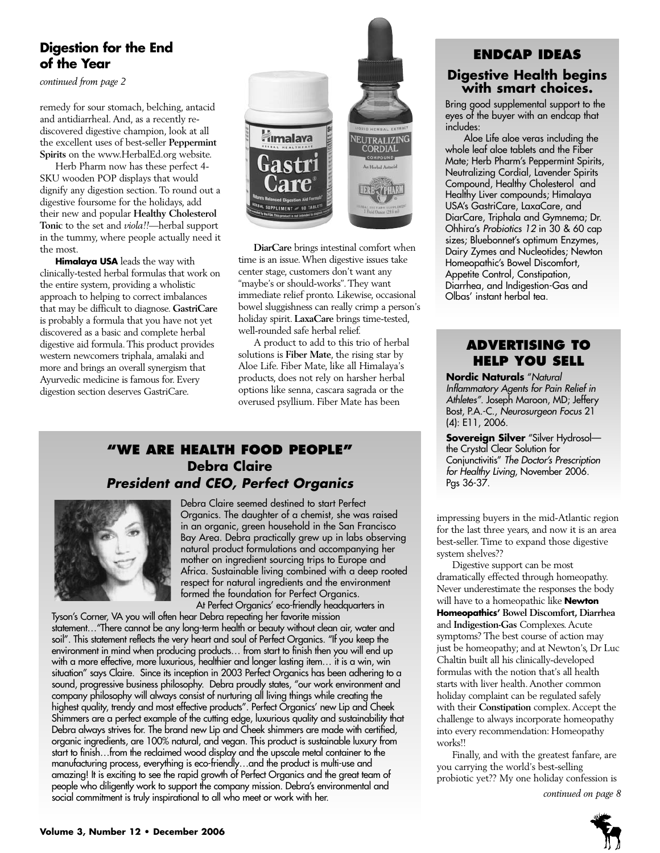# **Digestion for the End of the Year**

*continued from page 2*

remedy for sour stomach, belching, antacid and antidiarrheal. And, as a recently rediscovered digestive champion, look at all the excellent uses of best-seller **Peppermint Spirits** on the www.HerbalEd.org website.

Herb Pharm now has these perfect 4- SKU wooden POP displays that would dignify any digestion section. To round out a digestive foursome for the holidays, add their new and popular **Healthy Cholesterol Tonic** to the set and *viola!!*—herbal support in the tummy, where people actually need it the most.

**Himalaya USA** leads the way with clinically-tested herbal formulas that work on the entire system, providing a wholistic approach to helping to correct imbalances that may be difficult to diagnose. **GastriCare** is probably a formula that you have not yet discovered as a basic and complete herbal digestive aid formula. This product provides western newcomers triphala, amalaki and more and brings an overall synergism that Ayurvedic medicine is famous for. Every digestion section deserves GastriCare.



**DiarCare** brings intestinal comfort when time is an issue. When digestive issues take center stage, customers don't want any "maybe's or should-works". They want immediate relief pronto. Likewise, occasional bowel sluggishness can really crimp a person's holiday spirit. **LaxaCare** brings time-tested, well-rounded safe herbal relief.

A product to add to this trio of herbal solutions is **Fiber Mate**, the rising star by Aloe Life. Fiber Mate, like all Himalaya's products, does not rely on harsher herbal options like senna, cascara sagrada or the overused psyllium. Fiber Mate has been

# **"WE ARE HEALTH FOOD PEOPLE" Debra Claire** *President and CEO, Perfect Organics*



Debra Claire seemed destined to start Perfect Organics. The daughter of a chemist, she was raised in an organic, green household in the San Francisco Bay Area. Debra practically grew up in labs observing natural product formulations and accompanying her mother on ingredient sourcing trips to Europe and Africa. Sustainable living combined with a deep rooted respect for natural ingredients and the environment formed the foundation for Perfect Organics. At Perfect Organics' eco-friendly headquarters in

Tyson's Corner, VA you will often hear Debra repeating her favorite mission statement…"There cannot be any long-term health or beauty without clean air, water and soil". This statement reflects the very heart and soul of Perfect Organics. "If you keep the environment in mind when producing products… from start to finish then you will end up with a more effective, more luxurious, healthier and longer lasting item… it is a win, win situation" says Claire. Since its inception in 2003 Perfect Organics has been adhering to a sound, progressive business philosophy. Debra proudly states, "our work environment and company philosophy will always consist of nurturing all living things while creating the highest quality, trendy and most effective products". Perfect Organics' new Lip and Cheek Shimmers are a perfect example of the cutting edge, luxurious quality and sustainability that Debra always strives for. The brand new Lip and Cheek shimmers are made with certified, organic ingredients, are 100% natural, and vegan. This product is sustainable luxury from start to finish…from the reclaimed wood display and the upscale metal container to the manufacturing process, everything is eco-friendly…and the product is multi-use and amazing! It is exciting to see the rapid growth of Perfect Organics and the great team of people who diligently work to support the company mission. Debra's environmental and social commitment is truly inspirational to all who meet or work with her.

# **ENDCAP IDEAS Digestive Health begins with smart choices.**

Bring good supplemental support to the eyes of the buyer with an endcap that includes:

Aloe Life aloe veras including the whole leaf aloe tablets and the Fiber Mate; Herb Pharm's Peppermint Spirits, Neutralizing Cordial, Lavender Spirits Compound, Healthy Cholesterol and Healthy Liver compounds; Himalaya USA's GastriCare, LaxaCare, and DiarCare, Triphala and Gymnema; Dr. Ohhira's *Probiotics 12* in 30 & 60 cap sizes; Bluebonnet's optimum Enzymes, Dairy Zymes and Nucleotides; Newton Homeopathic's Bowel Discomfort, Appetite Control, Constipation, Diarrhea, and Indigestion-Gas and Olbas' instant herbal tea.

# **ADVERTISING TO HELP YOU SELL**

**Nordic Naturals** "*Natural Inflammatory Agents for Pain Relief in Athletes".* Joseph Maroon, MD; Jeffery Bost, P.A.-C., *Neurosurgeon Focus* 21 (4): E11, 2006.

**Sovereign Silver** "Silver Hydrosol the Crystal Clear Solution for Conjunctivitis" *The Doctor's Prescription for Healthy Living*, November 2006. Pgs 36-37.

impressing buyers in the mid-Atlantic region for the last three years, and now it is an area best-seller. Time to expand those digestive system shelves??

Digestive support can be most dramatically effected through homeopathy. Never underestimate the responses the body will have to a homeopathic like **Newton Homeopathics' Bowel Discomfort, Diarrhea** and **Indigestion-Gas** Complexes. Acute symptoms? The best course of action may just be homeopathy; and at Newton's, Dr Luc Chaltin built all his clinically-developed formulas with the notion that's all health starts with liver health. Another common holiday complaint can be regulated safely with their **Constipation** complex. Accept the challenge to always incorporate homeopathy into every recommendation: Homeopathy works!!

Finally, and with the greatest fanfare, are you carrying the world's best-selling probiotic yet?? My one holiday confession is

*continued on page 8*